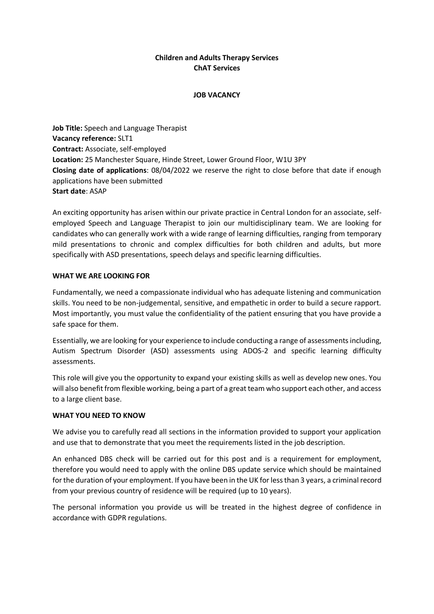# **Children and Adults Therapy Services ChAT Services**

### **JOB VACANCY**

**Job Title:** Speech and Language Therapist **Vacancy reference:** SLT1 **Contract:** Associate, self-employed **Location:** 25 Manchester Square, Hinde Street, Lower Ground Floor, W1U 3PY **Closing date of applications**: 08/04/2022 we reserve the right to close before that date if enough applications have been submitted **Start date**: ASAP

An exciting opportunity has arisen within our private practice in Central London for an associate, selfemployed Speech and Language Therapist to join our multidisciplinary team. We are looking for candidates who can generally work with a wide range of learning difficulties, ranging from temporary mild presentations to chronic and complex difficulties for both children and adults, but more specifically with ASD presentations, speech delays and specific learning difficulties.

### **WHAT WE ARE LOOKING FOR**

Fundamentally, we need a compassionate individual who has adequate listening and communication skills. You need to be non-judgemental, sensitive, and empathetic in order to build a secure rapport. Most importantly, you must value the confidentiality of the patient ensuring that you have provide a safe space for them.

Essentially, we are looking for your experience to include conducting a range of assessments including, Autism Spectrum Disorder (ASD) assessments using ADOS-2 and specific learning difficulty assessments.

This role will give you the opportunity to expand your existing skills as well as develop new ones. You will also benefit from flexible working, being a part of a great team who support each other, and access to a large client base.

#### **WHAT YOU NEED TO KNOW**

We advise you to carefully read all sections in the information provided to support your application and use that to demonstrate that you meet the requirements listed in the job description.

An enhanced DBS check will be carried out for this post and is a requirement for employment, therefore you would need to apply with the online DBS update service which should be maintained for the duration of your employment. If you have been in the UK for less than 3 years, a criminal record from your previous country of residence will be required (up to 10 years).

The personal information you provide us will be treated in the highest degree of confidence in accordance with GDPR regulations.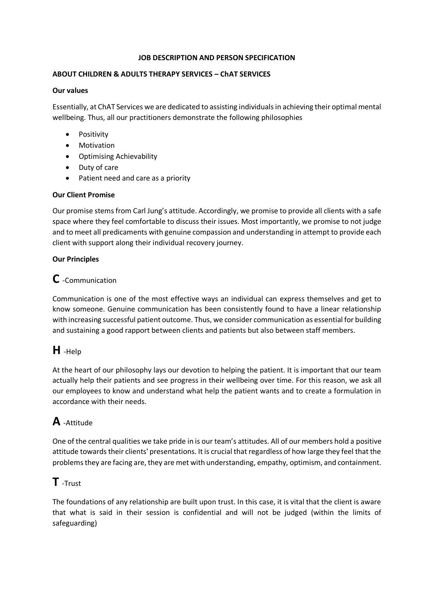### **JOB DESCRIPTION AND PERSON SPECIFICATION**

# **ABOUT CHILDREN & ADULTS THERAPY SERVICES – ChAT SERVICES**

### **Our values**

Essentially, at ChAT Services we are dedicated to assisting individuals in achieving their optimal mental wellbeing. Thus, all our practitioners demonstrate the following philosophies

- Positivity
- Motivation
- Optimising Achievability
- Duty of care
- Patient need and care as a priority

# **Our Client Promise**

Our promise stems from Carl Jung's attitude. Accordingly, we promise to provide all clients with a safe space where they feel comfortable to discuss their issues. Most importantly, we promise to not judge and to meet all predicaments with genuine compassion and understanding in attempt to provide each client with support along their individual recovery journey.

# **Our Principles**

# **C** -Communication

Communication is one of the most effective ways an individual can express themselves and get to know someone. Genuine communication has been consistently found to have a linear relationship with increasing successful patient outcome. Thus, we consider communication as essential for building and sustaining a good rapport between clients and patients but also between staff members.

# **H** -Help

At the heart of our philosophy lays our devotion to helping the patient. It is important that our team actually help their patients and see progress in their wellbeing over time. For this reason, we ask all our employees to know and understand what help the patient wants and to create a formulation in accordance with their needs.

# **A** -Attitude

One of the central qualities we take pride in is our team's attitudes. All of our members hold a positive attitude towards their clients' presentations. It is crucial that regardless of how large they feel that the problems they are facing are, they are met with understanding, empathy, optimism, and containment.

# **T** -Trust

The foundations of any relationship are built upon trust. In this case, it is vital that the client is aware that what is said in their session is confidential and will not be judged (within the limits of safeguarding)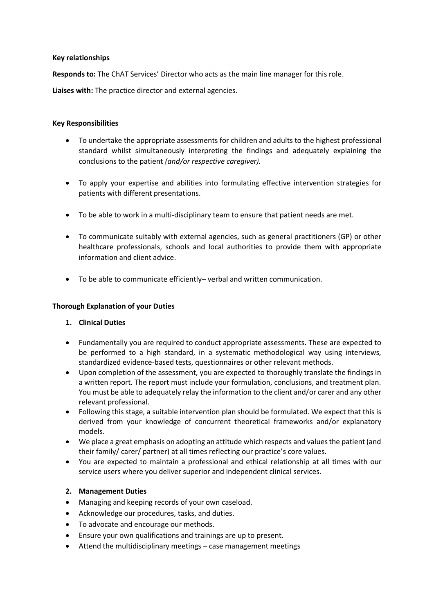### **Key relationships**

**Responds to:** The ChAT Services' Director who acts as the main line manager for this role.

**Liaises with:** The practice director and external agencies.

### **Key Responsibilities**

- To undertake the appropriate assessments for children and adults to the highest professional standard whilst simultaneously interpreting the findings and adequately explaining the conclusions to the patient *(and/or respective caregiver).*
- To apply your expertise and abilities into formulating effective intervention strategies for patients with different presentations.
- To be able to work in a multi-disciplinary team to ensure that patient needs are met.
- To communicate suitably with external agencies, such as general practitioners (GP) or other healthcare professionals, schools and local authorities to provide them with appropriate information and client advice.
- To be able to communicate efficiently– verbal and written communication.

## **Thorough Explanation of your Duties**

# **1. Clinical Duties**

- Fundamentally you are required to conduct appropriate assessments. These are expected to be performed to a high standard, in a systematic methodological way using interviews, standardized evidence-based tests, questionnaires or other relevant methods.
- Upon completion of the assessment, you are expected to thoroughly translate the findings in a written report. The report must include your formulation, conclusions, and treatment plan. You must be able to adequately relay the information to the client and/or carer and any other relevant professional.
- Following this stage, a suitable intervention plan should be formulated. We expect that this is derived from your knowledge of concurrent theoretical frameworks and/or explanatory models.
- We place a great emphasis on adopting an attitude which respects and values the patient (and their family/ carer/ partner) at all times reflecting our practice's core values.
- You are expected to maintain a professional and ethical relationship at all times with our service users where you deliver superior and independent clinical services.

# **2. Management Duties**

- Managing and keeping records of your own caseload.
- Acknowledge our procedures, tasks, and duties.
- To advocate and encourage our methods.
- Ensure your own qualifications and trainings are up to present.
- Attend the multidisciplinary meetings case management meetings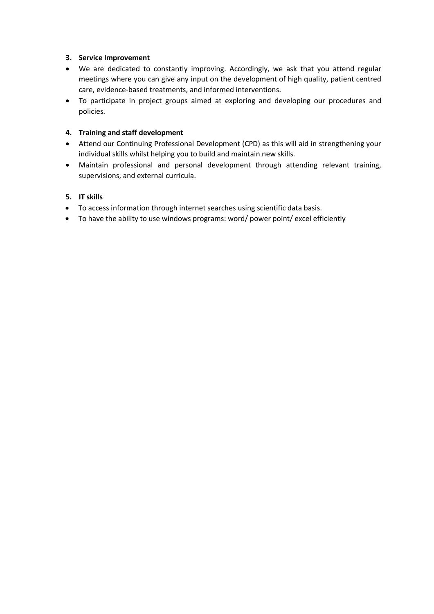## **3. Service Improvement**

- We are dedicated to constantly improving. Accordingly, we ask that you attend regular meetings where you can give any input on the development of high quality, patient centred care, evidence-based treatments, and informed interventions.
- To participate in project groups aimed at exploring and developing our procedures and policies.

## **4. Training and staff development**

- Attend our Continuing Professional Development (CPD) as this will aid in strengthening your individual skills whilst helping you to build and maintain new skills.
- Maintain professional and personal development through attending relevant training, supervisions, and external curricula.

### **5. IT skills**

- To access information through internet searches using scientific data basis.
- To have the ability to use windows programs: word/ power point/ excel efficiently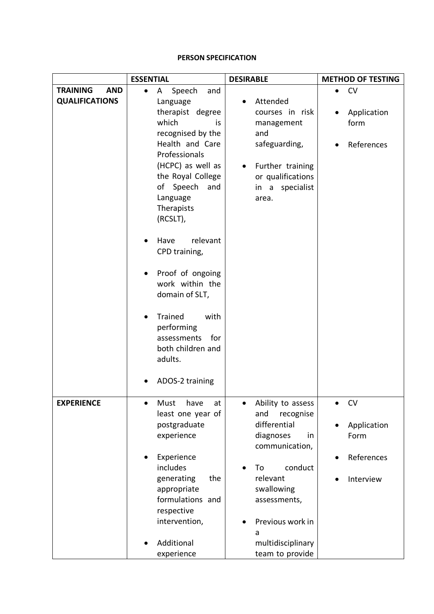### **PERSON SPECIFICATION**

|                               | <b>ESSENTIAL</b>                                                                                                                                                                                            | <b>DESIRABLE</b>                                                                                                                                                                                    | <b>METHOD OF TESTING</b>                                    |
|-------------------------------|-------------------------------------------------------------------------------------------------------------------------------------------------------------------------------------------------------------|-----------------------------------------------------------------------------------------------------------------------------------------------------------------------------------------------------|-------------------------------------------------------------|
| <b>TRAINING</b><br><b>AND</b> | Speech<br>Α<br>and                                                                                                                                                                                          |                                                                                                                                                                                                     | <b>CV</b><br>$\bullet$                                      |
| <b>QUALIFICATIONS</b>         | Language<br>therapist degree<br>which<br>is<br>recognised by the                                                                                                                                            | Attended<br>courses in risk<br>management<br>and                                                                                                                                                    | Application<br>form                                         |
|                               | Health and Care<br>Professionals<br>(HCPC) as well as<br>the Royal College<br>Speech<br>of<br>and<br>Language<br>Therapists<br>(RCSLT),                                                                     | safeguarding,<br>Further training<br>or qualifications<br>specialist<br>in a<br>area.                                                                                                               | References                                                  |
|                               | relevant<br>Have<br>CPD training,<br>Proof of ongoing<br>work within the<br>domain of SLT,<br><b>Trained</b><br>with<br>performing<br>assessments<br>for<br>both children and<br>adults.<br>ADOS-2 training |                                                                                                                                                                                                     |                                                             |
| <b>EXPERIENCE</b>             | Must<br>have<br>at<br>least one year of<br>postgraduate<br>experience<br>Experience<br>includes<br>generating<br>the<br>appropriate<br>formulations and<br>respective<br>intervention,<br>Additional        | Ability to assess<br>and<br>recognise<br>differential<br>diagnoses<br>in<br>communication,<br>conduct<br>To<br>relevant<br>swallowing<br>assessments,<br>Previous work in<br>a<br>multidisciplinary | <b>CV</b><br>Application<br>Form<br>References<br>Interview |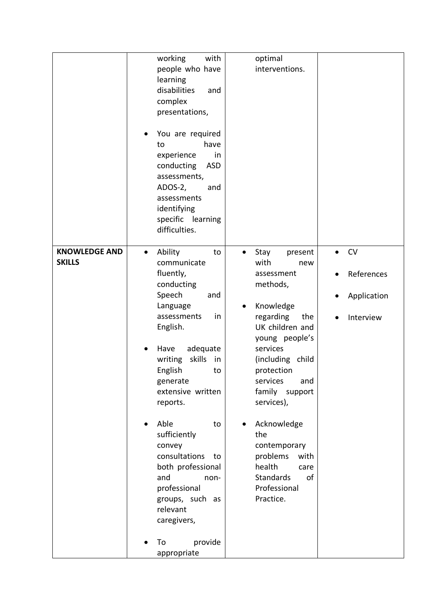|                                       | with<br>working<br>people who have<br>learning<br>disabilities<br>and<br>complex<br>presentations,<br>You are required<br>$\bullet$<br>have<br>to<br>experience<br>in<br><b>ASD</b><br>conducting<br>assessments,<br>ADOS-2,<br>and<br>assessments<br>identifying<br>specific learning<br>difficulties.                                                                                                                                          | optimal<br>interventions.                                                                                                                                                                                                                                                                                                                                                             |                                                                  |
|---------------------------------------|--------------------------------------------------------------------------------------------------------------------------------------------------------------------------------------------------------------------------------------------------------------------------------------------------------------------------------------------------------------------------------------------------------------------------------------------------|---------------------------------------------------------------------------------------------------------------------------------------------------------------------------------------------------------------------------------------------------------------------------------------------------------------------------------------------------------------------------------------|------------------------------------------------------------------|
| <b>KNOWLEDGE AND</b><br><b>SKILLS</b> | Ability<br>$\bullet$<br>to<br>communicate<br>fluently,<br>conducting<br>Speech<br>and<br>Language<br>assessments<br>in<br>English.<br>Have<br>adequate<br>skills<br>writing<br>in<br>English<br>to<br>generate<br>extensive written<br>reports.<br>Able<br>to<br>sufficiently<br>convey<br>consultations<br>to<br>both professional<br>and<br>non-<br>professional<br>groups, such as<br>relevant<br>caregivers,<br>provide<br>To<br>appropriate | Stay<br>present<br>$\bullet$<br>with<br>new<br>assessment<br>methods,<br>Knowledge<br>$\bullet$<br>regarding<br>the<br>UK children and<br>young people's<br>services<br>(including child<br>protection<br>services<br>and<br>family support<br>services),<br>Acknowledge<br>the<br>contemporary<br>problems<br>with<br>health<br>care<br>Standards<br>of<br>Professional<br>Practice. | <b>CV</b><br>$\bullet$<br>References<br>Application<br>Interview |